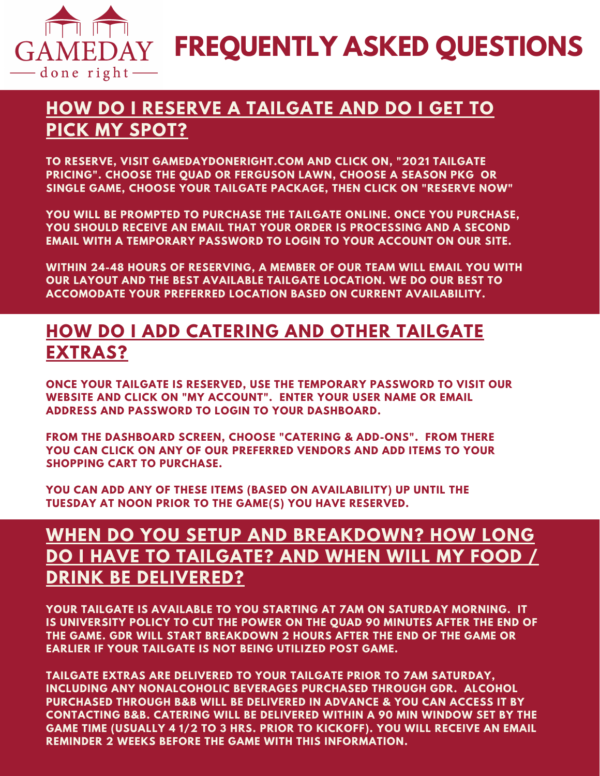

**FREQUENTLY ASKED QUESTIONS**

## **HOW DO I RESERVE A TAILGATE AND DO I GET TO PICK MY SPOT?**

**TO RESERVE, VISIT GAMEDAYDONERIGHT.COM AND CLICK ON, "2021 TAILGATE PRICING". CHOOSE THE QUAD OR FERGUSON LAWN, CHOOSE A SEASON PKG OR SINGLE GAME, CHOOSE YOUR TAILGATE PACKAGE, THEN CLICK ON "RESERVE NOW"**

**YOU WILL BE PROMPTED TO PURCHASE THE TAILGATE ONLINE. ONCE YOU PURCHASE, YOU SHOULD RECEIVE AN EMAIL THAT YOUR ORDER IS PROCESSING AND A SECOND EMAIL WITH A TEMPORARY PASSWORD TO LOGIN TO YOUR ACCOUNT ON OUR SITE.**

**WITHIN 24-48 HOURS OF RESERVING, A MEMBER OF OUR TEAM WILL EMAIL YOU WITH OUR LAYOUT AND THE BEST AVAILABLE TAILGATE LOCATION. WE DO OUR BEST TO ACCOMODATE YOUR PREFERRED LOCATION BASED ON CURRENT AVAILABILITY.**

#### **HOW DO I ADD CATERING AND OTHER TAILGATE EXTRAS?**

**ONCE YOUR TAILGATE IS RESERVED, USE THE TEMPORARY PASSWORD TO VISIT OUR WEBSITE AND CLICK ON "MY ACCOUNT". ENTER YOUR USER NAME OR EMAIL ADDRESS AND PASSWORD TO LOGIN TO YOUR DASHBOARD.**

**FROM THE DASHBOARD SCREEN, CHOOSE "CATERING & ADD-ONS". FROM THERE YOU CAN CLICK ON ANY OF OUR PREFERRED VENDORS AND ADD ITEMS TO YOUR SHOPPING CART TO PURCHASE.**

**YOU CAN ADD ANY OF THESE ITEMS (BASED ON AVAILABILITY) UP UNTIL THE TUESDAY AT NOON PRIOR TO THE GAME(S) YOU HAVE RESERVED.**

## **WHEN DO YOU SETUP AND BREAKDOWN? HOW LONG DO I HAVE TO TAILGATE? AND WHEN WILL MY FOOD / DRINK BE DELIVERED?**

**YOUR TAILGATE IS AVAILABLE TO YOU STARTING AT 7AM ON SATURDAY MORNING. IT IS UNIVERSITY POLICY TO CUT THE POWER ON THE QUAD 90 MINUTES AFTER THE END OF THE GAME. GDR WILL START BREAKDOWN 2 HOURS AFTER THE END OF THE GAME OR EARLIER IF YOUR TAILGATE IS NOT BEING UTILIZED POST GAME.**

**TAILGATE EXTRAS ARE DELIVERED TO YOUR TAILGATE PRIOR TO 7AM SATURDAY, INCLUDING ANY NONALCOHOLIC BEVERAGES PURCHASED THROUGH GDR. ALCOHOL PURCHASED THROUGH B&B WILL BE DELIVERED IN ADVANCE & YOU CAN ACCESS IT BY CONTACTING B&B. CATERING WILL BE DELIVERED WITHIN A 90 MIN WINDOW SET BY THE GAME TIME (USUALLY 4 1/2 TO 3 HRS. PRIOR TO KICKOFF). YOU WILL RECEIVE AN EMAIL REMINDER 2 WEEKS BEFORE THE GAME WITH THIS INFORMATION.**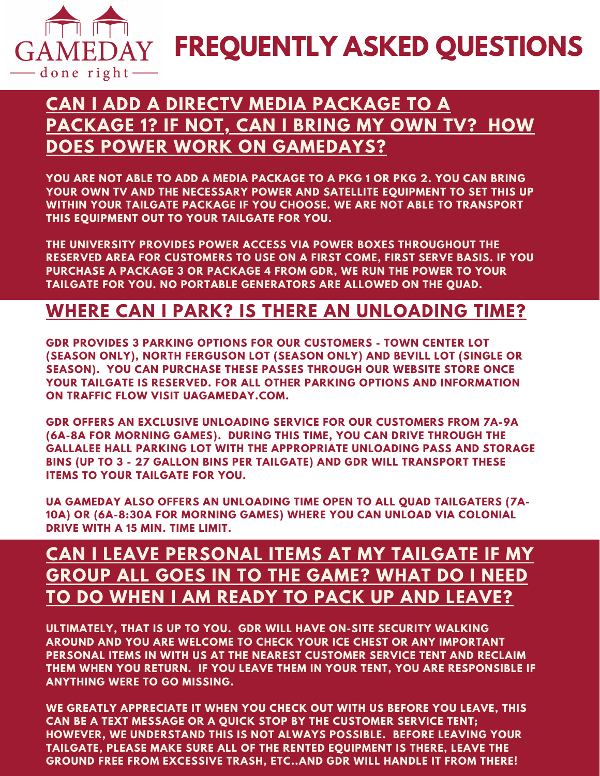

**FREQUENTLY ASKED QUESTIONS**

## **CAN I ADD A DIRECTV MEDIA PACKAGE TO A PACKAGE 1? IF NOT, CAN I BRING MY OWN TV? HOW DOES POWER WORK ON GAMEDAYS?**

**YOU ARE NOT ABLE TO ADD A MEDIA PACKAGE TO A PKG 1 OR PKG 2. YOU CAN BRING YOUR OWN TV AND THE NECESSARY POWER AND SATELLITE EQUIPMENT TO SET THIS UP WITHIN YOUR TAILGATE PACKAGE IF YOU CHOOSE. WE ARE NOT ABLE TO TRANSPORT THIS EQUIPMENT OUT TO YOUR TAILGATE FOR YOU.**

**THE UNIVERSITY PROVIDES POWER ACCESS VIA POWER BOXES THROUGHOUT THE RESERVED AREA FOR CUSTOMERS TO USE ON A FIRST COME, FIRST SERVE BASIS. IF YOU PURCHASE A PACKAGE 3 OR PACKAGE 4 FROM GDR, WE RUN THE POWER TO YOUR TAILGATE FOR YOU. NO PORTABLE GENERATORS ARE ALLOWED ON THE QUAD.**

#### **WHERE CAN I PARK? IS THERE AN UNLOADING TIME?**

**GDR PROVIDES 3 PARKING OPTIONS FOR OUR CUSTOMERS - TOWN CENTER LOT (SEASON ONLY), NORTH FERGUSON LOT (SEASON ONLY) AND BEVILL LOT (SINGLE OR SEASON). YOU CAN PURCHASE THESE PASSES THROUGH OUR WEBSITE STORE ONCE YOUR TAILGATE IS RESERVED. FOR ALL OTHER PARKING OPTIONS AND INFORMATION ON TRAFFIC FLOW VISIT UAGAMEDAY.COM.**

**GDR OFFERS AN EXCLUSIVE UNLOADING SERVICE FOR OUR CUSTOMERS FROM 7A-9A (6A-8A FOR MORNING GAMES). DURING THIS TIME, YOU CAN DRIVE THROUGH THE GALLALEE HALL PARKING LOT WITH THE APPROPRIATE UNLOADING PASS AND STORAGE BINS (UP TO 3 - 27 GALLON BINS PER TAILGATE) AND GDR WILL TRANSPORT THESE ITEMS TO YOUR TAILGATE FOR YOU.**

**UA GAMEDAY ALSO OFFERS AN UNLOADING TIME OPEN TO ALL QUAD TAILGATERS (7A-10A) OR (6A-8:30A FOR MORNING GAMES) WHERE YOU CAN UNLOAD VIA COLONIAL DRIVE WITH A 15 MIN. TIME LIMIT.**

## **CAN I LEAVE PERSONAL ITEMS AT MY TAILGATE IF MY GROUP ALL GOES IN TO THE GAME? WHAT DO I NEED TO DO WHEN I AM READY TO PACK UP AND LEAVE?**

**ULTIMATELY, THAT IS UP TO YOU. GDR WILL HAVE ON-SITE SECURITY WALKING AROUND AND YOU ARE WELCOME TO CHECK YOUR ICE CHEST OR ANY IMPORTANT PERSONAL ITEMS IN WITH US AT THE NEAREST CUSTOMER SERVICE TENT AND RECLAIM THEM WHEN YOU RETURN. IF YOU LEAVE THEM IN YOUR TENT, YOU ARE RESPONSIBLE IF ANYTHING WERE TO GO MISSING.**

**WE GREATLY APPRECIATE IT WHEN YOU CHECK OUT WITH US BEFORE YOU LEAVE, THIS CAN BE A TEXT MESSAGE OR A QUICK STOP BY THE CUSTOMER SERVICE TENT; HOWEVER, WE UNDERSTAND THIS IS NOT ALWAYS POSSIBLE. BEFORE LEAVING YOUR TAILGATE, PLEASE MAKE SURE ALL OF THE RENTED EQUIPMENT IS THERE, LEAVE THE GROUND FREE FROM EXCESSIVE TRASH, ETC..AND GDR WILL HANDLE IT FROM THERE!**